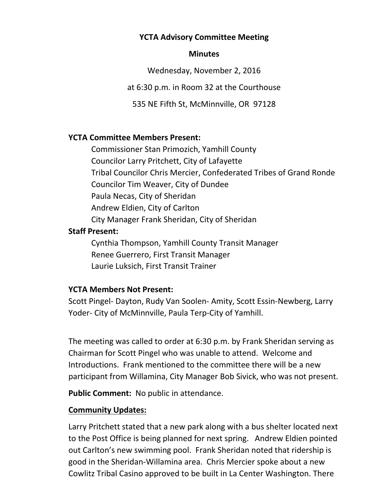### **YCTA Advisory Committee Meeting**

#### **Minutes**

Wednesday, November 2, 2016

at 6:30 p.m. in Room 32 at the Courthouse

535 NE Fifth St, McMinnville, OR 97128

### **YCTA Committee Members Present:**

Commissioner Stan Primozich, Yamhill County Councilor Larry Pritchett, City of Lafayette Tribal Councilor Chris Mercier, Confederated Tribes of Grand Ronde Councilor Tim Weaver, City of Dundee Paula Necas, City of Sheridan Andrew Eldien, City of Carlton City Manager Frank Sheridan, City of Sheridan **Staff Present:** Cynthia Thompson, Yamhill County Transit Manager Renee Guerrero, First Transit Manager Laurie Luksich, First Transit Trainer

## **YCTA Members Not Present:**

Scott Pingel- Dayton, Rudy Van Soolen- Amity, Scott Essin-Newberg, Larry Yoder- City of McMinnville, Paula Terp-City of Yamhill.

The meeting was called to order at 6:30 p.m. by Frank Sheridan serving as Chairman for Scott Pingel who was unable to attend. Welcome and Introductions. Frank mentioned to the committee there will be a new participant from Willamina, City Manager Bob Sivick, who was not present.

**Public Comment:** No public in attendance.

## **Community Updates:**

Larry Pritchett stated that a new park along with a bus shelter located next to the Post Office is being planned for next spring. Andrew Eldien pointed out Carlton's new swimming pool. Frank Sheridan noted that ridership is good in the Sheridan-Willamina area. Chris Mercier spoke about a new Cowlitz Tribal Casino approved to be built in La Center Washington. There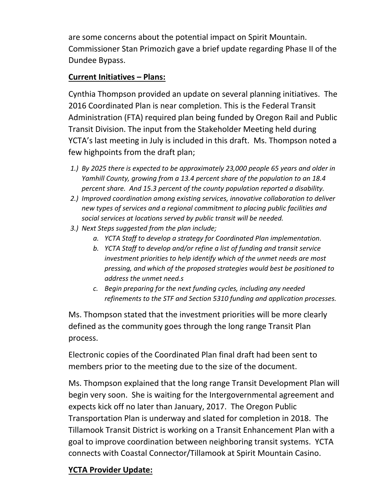are some concerns about the potential impact on Spirit Mountain. Commissioner Stan Primozich gave a brief update regarding Phase II of the Dundee Bypass.

## **Current Initiatives – Plans:**

Cynthia Thompson provided an update on several planning initiatives. The 2016 Coordinated Plan is near completion. This is the Federal Transit Administration (FTA) required plan being funded by Oregon Rail and Public Transit Division. The input from the Stakeholder Meeting held during YCTA's last meeting in July is included in this draft. Ms. Thompson noted a few highpoints from the draft plan;

- *1.) By 2025 there is expected to be approximately 23,000 people 65 years and older in Yamhill County, growing from a 13.4 percent share of the population to an 18.4 percent share. And 15.3 percent of the county population reported a disability.*
- *2.) Improved coordination among existing services, innovative collaboration to deliver new types of services and a regional commitment to placing public facilities and social services at locations served by public transit will be needed.*
- *3.) Next Steps suggested from the plan include;*
	- *a. YCTA Staff to develop a strategy for Coordinated Plan implementation.*
	- *b. YCTA Staff to develop and/or refine a list of funding and transit service investment priorities to help identify which of the unmet needs are most pressing, and which of the proposed strategies would best be positioned to address the unmet need.s*
	- *c. Begin preparing for the next funding cycles, including any needed refinements to the STF and Section 5310 funding and application processes.*

Ms. Thompson stated that the investment priorities will be more clearly defined as the community goes through the long range Transit Plan process.

Electronic copies of the Coordinated Plan final draft had been sent to members prior to the meeting due to the size of the document.

Ms. Thompson explained that the long range Transit Development Plan will begin very soon. She is waiting for the Intergovernmental agreement and expects kick off no later than January, 2017. The Oregon Public Transportation Plan is underway and slated for completion in 2018. The Tillamook Transit District is working on a Transit Enhancement Plan with a goal to improve coordination between neighboring transit systems. YCTA connects with Coastal Connector/Tillamook at Spirit Mountain Casino.

# **YCTA Provider Update:**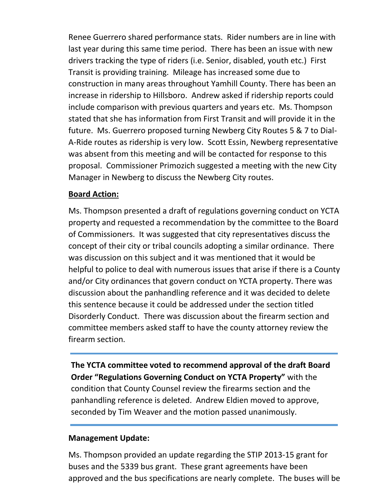Renee Guerrero shared performance stats. Rider numbers are in line with last year during this same time period. There has been an issue with new drivers tracking the type of riders (i.e. Senior, disabled, youth etc.) First Transit is providing training. Mileage has increased some due to construction in many areas throughout Yamhill County. There has been an increase in ridership to Hillsboro. Andrew asked if ridership reports could include comparison with previous quarters and years etc. Ms. Thompson stated that she has information from First Transit and will provide it in the future. Ms. Guerrero proposed turning Newberg City Routes 5 & 7 to Dial-A-Ride routes as ridership is very low. Scott Essin, Newberg representative was absent from this meeting and will be contacted for response to this proposal. Commissioner Primozich suggested a meeting with the new City Manager in Newberg to discuss the Newberg City routes.

## **Board Action:**

Ms. Thompson presented a draft of regulations governing conduct on YCTA property and requested a recommendation by the committee to the Board of Commissioners. It was suggested that city representatives discuss the concept of their city or tribal councils adopting a similar ordinance. There was discussion on this subject and it was mentioned that it would be helpful to police to deal with numerous issues that arise if there is a County and/or City ordinances that govern conduct on YCTA property. There was discussion about the panhandling reference and it was decided to delete this sentence because it could be addressed under the section titled Disorderly Conduct. There was discussion about the firearm section and committee members asked staff to have the county attorney review the firearm section.

**The YCTA committee voted to recommend approval of the draft Board Order "Regulations Governing Conduct on YCTA Property"** with the condition that County Counsel review the firearms section and the panhandling reference is deleted. Andrew Eldien moved to approve, seconded by Tim Weaver and the motion passed unanimously.

# **Management Update:**

Ms. Thompson provided an update regarding the STIP 2013-15 grant for buses and the 5339 bus grant. These grant agreements have been approved and the bus specifications are nearly complete. The buses will be